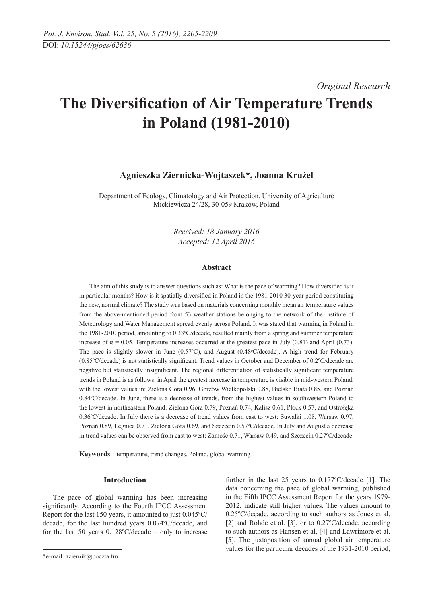*Original Research* 

# **The Diversification of Air Temperature Trends in Poland (1981-2010)**

# **Agnieszka Ziernicka-Wojtaszek\*, Joanna Krużel**

Department of Ecology, Climatology and Air Protection, University of Agriculture Mickiewicza 24/28, 30-059 Kraków, Poland

> *Received: 18 January 2016 Accepted: 12 April 2016*

## **Abstract**

The aim of this study is to answer questions such as: What is the pace of warming? How diversified is it in particular months? How is it spatially diversified in Poland in the 1981-2010 30-year period constituting the new, normal climate? The study was based on materials concerning monthly mean air temperature values from the above-mentioned period from 53 weather stations belonging to the network of the Institute of Meteorology and Water Management spread evenly across Poland. It was stated that warming in Poland in the 1981-2010 period, amounting to 0.33ºC/decade, resulted mainly from a spring and summer temperature increase of  $\alpha = 0.05$ . Temperature increases occurred at the greatest pace in July (0.81) and April (0.73). The pace is slightly slower in June  $(0.57^{\circ}C)$ , and August  $(0.48^{\circ}C/\text{decade})$ . A high trend for February (0.85ºC/decade) is not statistically significant. Trend values in October and December of 0.2ºC/decade are negative but statistically insignificant. The regional differentiation of statistically significant temperature trends in Poland is as follows: in April the greatest increase in temperature is visible in mid-western Poland, with the lowest values in: Zielona Góra 0.96, Gorzów Wielkopolski 0.88, Bielsko Biała 0.85, and Poznań 0.84ºC/decade. In June, there is a decrease of trends, from the highest values in southwestern Poland to the lowest in northeastern Poland: Zielona Góra 0.79, Poznań 0.74, Kalisz 0.61, Płock 0.57, and Ostrołęka 0.36ºC/decade. In July there is a decrease of trend values from east to west: Suwałki 1.08, Warsaw 0.97, Poznań 0.89, Legnica 0.71, Zielona Góra 0.69, and Szczecin 0.57ºC/decade. In July and August a decrease in trend values can be observed from east to west: Zamość 0.71, Warsaw 0.49, and Szczecin 0.27ºC/decade.

**Keywords**: temperature, trend changes, Poland, global warming

## **Introduction**

The pace of global warming has been increasing significantly. According to the Fourth IPCC Assessment Report for the last 150 years, it amounted to just 0.045ºC/ decade, for the last hundred years 0.074ºC/decade, and for the last 50 years  $0.128\textdegree C/\text{decade}$  – only to increase

further in the last 25 years to 0.177ºC/decade [1]. The data concerning the pace of global warming, published in the Fifth IPCC Assessment Report for the years 1979- 2012, indicate still higher values. The values amount to 0.25ºC/decade, according to such authors as Jones et al. [2] and Rohde et al. [3], or to 0.27ºC/decade, according to such authors as Hansen et al. [4] and Lawrimore et al. [5]. The juxtaposition of annual global air temperature values for the particular decades of the 1931-2010 period,

<sup>\*</sup>e-mail: aziernik@poczta.fm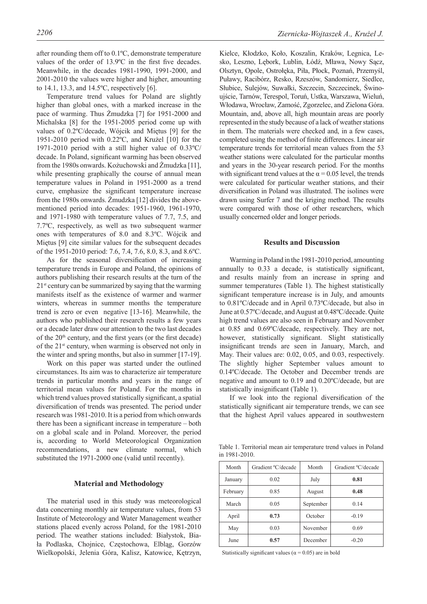after rounding them off to 0.1ºC, demonstrate temperature values of the order of 13.9ºC in the first five decades. Meanwhile, in the decades 1981-1990, 1991-2000, and 2001-2010 the values were higher and higher, amounting to 14.1, 13.3, and 14.5ºC, respectively [6].

Temperature trend values for Poland are slightly higher than global ones, with a marked increase in the pace of warming. Thus Żmudzka [7] for 1951-2000 and Michalska [8] for the 1951-2005 period come up with values of 0.2ºC/decade, Wójcik and Miętus [9] for the 1951-2010 period with 0.22ºC, and Krużel [10] for the 1971-2010 period with a still higher value of 0.33ºC/ decade. In Poland, significant warming has been observed from the 1980s onwards. Kożuchowski and Żmudzka [11], while presenting graphically the course of annual mean temperature values in Poland in 1951-2000 as a trend curve, emphasize the significant temperature increase from the 1980s onwards. Żmudzka [12] divides the abovementioned period into decades: 1951-1960, 1961-1970, and 1971-1980 with temperature values of 7.7, 7.5, and 7.7ºC, respectively, as well as two subsequent warmer ones with temperatures of 8.0 and 8.3ºC. Wójcik and Miętus [9] cite similar values for the subsequent decades of the 1951-2010 period: 7.6, 7.4, 7.6, 8.0, 8.3, and 8.6ºC.

As for the seasonal diversification of increasing temperature trends in Europe and Poland, the opinions of authors publishing their research results at the turn of the  $21<sup>st</sup>$  century can be summarized by saying that the warming manifests itself as the existence of warmer and warmer winters, whereas in summer months the temperature trend is zero or even negative [13-16]. Meanwhile, the authors who published their research results a few years or a decade later draw our attention to the two last decades of the  $20<sup>th</sup>$  century, and the first years (or the first decade) of the 21st century, when warming is observed not only in the winter and spring months, but also in summer [17-19].

Work on this paper was started under the outlined circumstances. Its aim was to characterize air temperature trends in particular months and years in the range of territorial mean values for Poland. For the months in which trend values proved statistically significant, a spatial diversification of trends was presented. The period under research was 1981-2010. It is a period from which onwards there has been a significant increase in temperature – both on a global scale and in Poland. Moreover, the period is, according to World Meteorological Organization recommendations, a new climate normal, which substituted the 1971-2000 one (valid until recently).

#### **Material and Methodology**

The material used in this study was meteorological data concerning monthly air temperature values, from 53 Institute of Meteorology and Water Management weather stations placed evenly across Poland, for the 1981-2010 period. The weather stations included: Białystok, Biała Podlaska, Chojnice, Częstochowa, Elbląg, Gorzów Wielkopolski, Jelenia Góra, Kalisz, Katowice, Kętrzyn,

Kielce, Kłodzko, Koło, Koszalin, Kraków, Legnica, Lesko, Leszno, Lębork, Lublin, Łódź, Mława, Nowy Sącz, Olsztyn, Opole, Ostrołęka, Piła, Płock, Poznań, Przemyśl, Puławy, Racibórz, Resko, Rzeszów, Sandomierz, Siedlce, Słubice, Sulejów, Suwałki, Szczecin, Szczecinek, Świnoujście, Tarnów, Terespol, Toruń, Ustka, Warszawa, Wieluń, Włodawa, Wrocław, Zamość, Zgorzelec, and Zielona Góra. Mountain, and, above all, high mountain areas are poorly represented in the study because of a lack of weather stations in them. The materials were checked and, in a few cases, completed using the method of finite differences. Linear air temperature trends for territorial mean values from the 53 weather stations were calculated for the particular months and years in the 30-year research period. For the months with significant trend values at the  $\alpha$  = 0.05 level, the trends were calculated for particular weather stations, and their diversification in Poland was illustrated. The isolines were drawn using Surfer 7 and the kriging method. The results were compared with those of other researchers, which usually concerned older and longer periods.

#### **Results and Discussion**

Warming in Poland in the 1981-2010 period, amounting annually to 0.33 a decade, is statistically significant, and results mainly from an increase in spring and summer temperatures (Table 1). The highest statistically significant temperature increase is in July, and amounts to 0.81ºC/decade and in April 0.73ºC/decade, but also in June at 0.57ºC/decade, and August at 0.48ºC/decade. Quite high trend values are also seen in February and November at 0.85 and 0.69ºC/decade, respectively. They are not, however, statistically significant. Slight statistically insignificant trends are seen in January, March, and May. Their values are: 0.02, 0.05, and 0.03, respectively. The slightly higher September values amount to 0.14ºC/decade. The October and December trends are negative and amount to 0.19 and 0.20ºC/decade, but are statistically insignificant (Table 1).

If we look into the regional diversification of the statistically significant air temperature trends, we can see that the highest April values appeared in southwestern

Table 1. Territorial mean air temperature trend values in Poland in 1981-2010.

| Month    | Gradient °C/decade | Month     | Gradient °C/decade |
|----------|--------------------|-----------|--------------------|
| January  | 0.02               | July      | 0.81               |
| February | 0.85               | August    | 0.48               |
| March    | 0.05               | September | 0.14               |
| April    | 0.73               | October   | $-0.19$            |
| May      | 0.03               | November  | 0.69               |
| June     | 0.57               | December  | $-0.20$            |

Statistically significant values ( $\alpha$  = 0.05) are in bold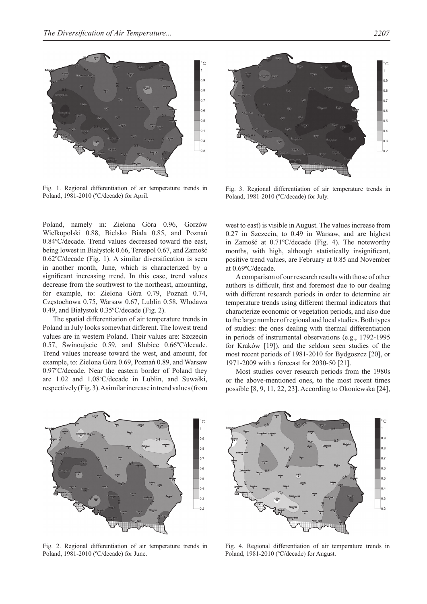

Fig. 1. Regional differentiation of air temperature trends in Poland, 1981-2010 (ºC/decade) for April.

Poland, namely in: Zielona Góra 0.96, Gorzów Wielkopolski 0.88, Bielsko Biała 0.85, and Poznań 0.84ºC/decade. Trend values decreased toward the east, being lowest in Białystok 0.66, Terespol 0.67, and Zamość 0.62ºC/decade (Fig. 1). A similar diversification is seen in another month, June, which is characterized by a significant increasing trend. In this case, trend values decrease from the southwest to the northeast, amounting, for example, to: Zielona Góra 0.79, Poznań 0.74, Częstochowa 0.75, Warsaw 0.67, Lublin 0.58, Włodawa 0.49, and Białystok 0.35ºC/decade (Fig. 2).

The spatial differentiation of air temperature trends in Poland in July looks somewhat different. The lowest trend values are in western Poland. Their values are: Szczecin 0.57, Świnoujscie 0.59, and Słubice 0.66ºC/decade. Trend values increase toward the west, and amount, for example, to: Zielona Góra 0.69, Poznań 0.89, and Warsaw 0.97ºC/decade. Near the eastern border of Poland they are 1.02 and 1.08°C/decade in Lublin, and Suwałki, respectively (Fig. 3). A similar increase in trend values (from



Fig. 3. Regional differentiation of air temperature trends in Poland, 1981-2010 (ºC/decade) for July.

west to east) is visible in August. The values increase from 0.27 in Szczecin, to 0.49 in Warsaw, and are highest in Zamość at 0.71ºC/decade (Fig. 4). The noteworthy months, with high, although statistically insignificant, positive trend values, are February at 0.85 and November at 0.69ºC/decade.

A comparison of our research results with those of other authors is difficult, first and foremost due to our dealing with different research periods in order to determine air temperature trends using different thermal indicators that characterize economic or vegetation periods, and also due to the large number of regional and local studies. Both types of studies: the ones dealing with thermal differentiation in periods of instrumental observations (e.g., 1792-1995 for Kraków [19]), and the seldom seen studies of the most recent periods of 1981-2010 for Bydgoszcz [20], or 1971-2009 with a forecast for 2030-50 [21].

Most studies cover research periods from the 1980s or the above-mentioned ones, to the most recent times possible [8, 9, 11, 22, 23]. According to Okoniewska [24],



Fig. 2. Regional differentiation of air temperature trends in Poland, 1981-2010 (ºC/decade) for June.



Fig. 4. Regional differentiation of air temperature trends in Poland, 1981-2010 (ºC/decade) for August.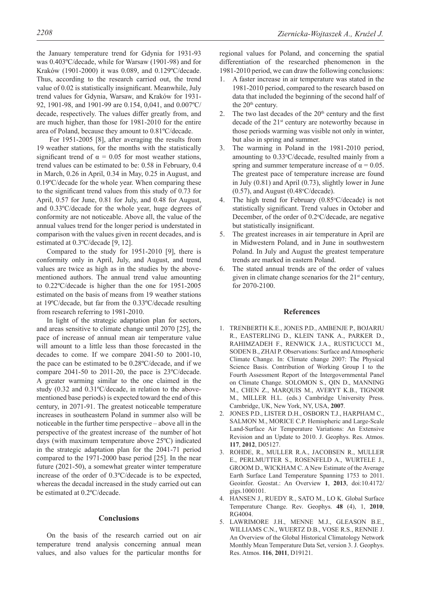the January temperature trend for Gdynia for 1931-93 was 0.403ºC/decade, while for Warsaw (1901-98) and for Kraków (1901-2000) it was 0.089, and 0.129ºC/decade. Thus, according to the research carried out, the trend value of 0.02 is statistically insignificant. Meanwhile, July trend values for Gdynia, Warsaw, and Kraków for 1931- 92, 1901-98, and 1901-99 are 0.154, 0,041, and 0.007ºC/ decade, respectively. The values differ greatly from, and are much higher, than those for 1981-2010 for the entire area of Poland, because they amount to 0.81ºC/decade.

 For 1951-2005 [8], after averaging the results from 19 weather stations, for the months with the statistically significant trend of  $\alpha = 0.05$  for most weather stations, trend values can be estimated to be: 0.58 in February, 0.4 in March, 0.26 in April, 0.34 in May, 0.25 in August, and 0.19ºC/decade for the whole year. When comparing these to the significant trend values from this study of 0.73 for April, 0.57 for June, 0.81 for July, and 0.48 for August, and 0.33ºC/decade for the whole year, huge degrees of conformity are not noticeable. Above all, the value of the annual values trend for the longer period is understated in comparison with the values given in recent decades, and is estimated at 0.3ºC/decade [9, 12].

Compared to the study for 1951-2010 [9], there is conformity only in April, July, and August, and trend values are twice as high as in the studies by the abovementioned authors. The annual trend value amounting to 0.22ºC/decade is higher than the one for 1951-2005 estimated on the basis of means from 19 weather stations at 19ºC/decade, but far from the 0.33ºC/decade resulting from research referring to 1981-2010.

In light of the strategic adaptation plan for sectors, and areas sensitive to climate change until 2070 [25], the pace of increase of annual mean air temperature value will amount to a little less than those forecasted in the decades to come. If we compare 2041-50 to 2001-10, the pace can be estimated to be 0.28ºC/decade, and if we compare 2041-50 to 2011-20, the pace is 23ºC/decade. A greater warming similar to the one claimed in the study (0.32 and 0.31ºC/decade, in relation to the abovementioned base periods) is expected toward the end of this century, in 2071-91. The greatest noticeable temperature increases in southeastern Poland in summer also will be noticeable in the further time perspective – above all in the perspective of the greatest increase of the number of hot days (with maximum temperature above 25ºC) indicated in the strategic adaptation plan for the 2041-71 period compared to the 1971-2000 base period [25]. In the near future (2021-50), a somewhat greater winter temperature increase of the order of 0.3ºC/decade is to be expected, whereas the decadal increased in the study carried out can be estimated at 0.2ºC/decade.

#### **Conclusions**

On the basis of the research carried out on air temperature trend analysis concerning annual mean values, and also values for the particular months for

regional values for Poland, and concerning the spatial differentiation of the researched phenomenon in the 1981-2010 period, we can draw the following conclusions:

- 1. A faster increase in air temperature was stated in the 1981-2010 period, compared to the research based on data that included the beginning of the second half of the 20<sup>th</sup> century.
- 2. The two last decades of the  $20<sup>th</sup>$  century and the first decade of the 21st century are noteworthy because in those periods warming was visible not only in winter, but also in spring and summer.
- The warming in Poland in the 1981-2010 period, amounting to 0.33°C/decade, resulted mainly from a spring and summer temperature increase of  $\alpha = 0.05$ . The greatest pace of temperature increase are found in July (0.81) and April (0.73), slightly lower in June  $(0.57)$ , and August  $(0.48 \degree C/\text{decade})$ .
- 4. The high trend for February  $(0.85^{\circ}C/\text{decade})$  is not statistically significant. Trend values in October and December, of the order of  $0.2$ °C/decade, are negative but statistically insignificant.
- 5. The greatest increases in air temperature in April are in Midwestern Poland, and in June in southwestern Poland. In July and August the greatest temperature trends are marked in eastern Poland.
- 6. The stated annual trends are of the order of values given in climate change scenarios for the  $21<sup>st</sup>$  century, for 2070-2100.

#### **References**

- 1. TRENBERTH K.E., JONES P.D., AMBENJE P., BOJARIU R., EASTERLING D., KLEIN TANK A., PARKER D., RAHIMZADEH F., RENWICK J.A., RUSTICUCCI M., SODEN B., ZHAI P. Observations: Surface and Atmospheric Climate Change. In: Climate change 2007: The Physical Science Basis. Contribution of Working Group I to the Fourth Assessment Report of the Intergovernmental Panel on Climate Change. SOLOMON S., QIN D., MANNING M., CHEN Z., MARQUIS M., AVERYT K.B., TIGNOR M., MILLER H.L. (eds.) Cambridge University Press. Cambridge, UK, New York, NY, USA, **2007**.
- 2. JONES P.D., LISTER D.H., OSBORN T.J., HARPHAM C., SALMON M., MORICE C.P. Hemispheric and Large-Scale Land-Surface Air Temperature Variations: An Extensive Revision and an Update to 2010. J. Geophys. Res. Atmos. **117**, **2012**, D05127.
- 3. ROHDE, R., MULLER R.A., JACOBSEN R., MULLER E., PERLMUTTER S., ROSENFELD A., WURTELE J., GROOM D., WICKHAM C. A New Estimate of the Average Earth Surface Land Temperature Spanning 1753 to 2011. Geoinfor. Geostat.: An Overview **1**, **2013**, doi:10.4172/ gigs.1000101.
- 4. HANSEN J., RUEDY R., SATO M., LO K. Global Surface Temperature Change. Rev. Geophys. **48** (4), 1, **2010**, RG4004.
- 5. LAWRIMORE J.H., MENNE M.J., GLEASON B.E., WILLIAMS C.N., WUERTZ D.B., VOSE R.S., RENNIE J. An Overview of the Global Historical Climatology Network Monthly Mean Temperature Data Set, version 3. J. Geophys. Res. Atmos. **116**, **2011**, D19121.